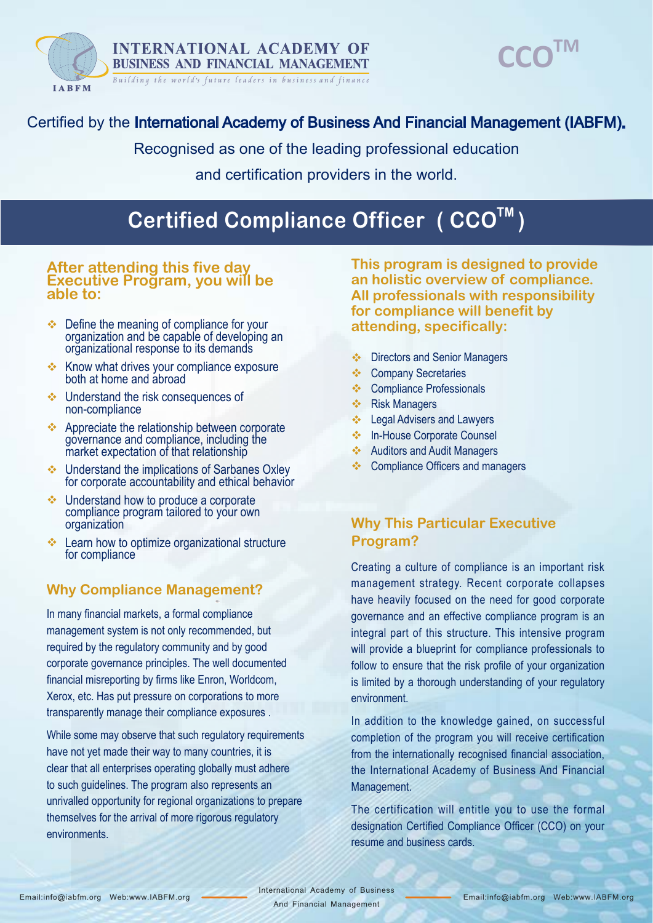

#### **INTERNATIONAL ACADEMY OF BUSINESS AND FINANCIAL MANAGEMENT**

Building the world's future leaders in business and finance

#### Certified by the International Academy of Business And Financial Management (IABFM).

Recognised as one of the leading professional education and certification providers in the world.

### **Certified Compliance Officer ( CCOTM )**

#### **After attending this five day Executive Program, you will be able to:**

- **◆** Define the meaning of compliance for your organization and be capable of developing an organizational response to its demands
- $\cdot$  Know what drives your compliance exposure both at home and abroad
- **↓** Understand the risk consequences of non-compliance
- Appreciate the relationship between corporate governance and compliance, including the market expectation of that relationship
- **↓** Understand the implications of Sarbanes Oxley for corporate accountability and ethical behavior
- **↓** Understand how to produce a corporate compliance program tailored to your own organization
- **Exam how to optimize organizational structure** for compliance

#### **Why Compliance Management?**

In many financial markets, a formal compliance management system is not only recommended, but required by the regulatory community and by good corporate governance principles. The well documented financial misreporting by firms like Enron, Worldcom, Xerox, etc. Has put pressure on corporations to more transparently manage their compliance exposures .

While some may observe that such regulatory requirements have not yet made their way to many countries, it is clear that all enterprises operating globally must adhere to such guidelines. The program also represents an unrivalled opportunity for regional organizations to prepare themselves for the arrival of more rigorous regulatory environments.

**This program is designed to provide an holistic overview of compliance. All professionals with responsibility for compliance will benefit by attending, specifically:**

**CCOTM**

- $\triangle$  Directors and Senior Managers
- **← Company Secretaries**
- **← Compliance Professionals**
- Risk Managers
- **Legal Advisers and Lawyers**
- ❖ In-House Corporate Counsel
- **Auditors and Audit Managers**
- Compliance Officers and managers

#### **Why This Particular Executive Program?**

Creating a culture of compliance is an important risk management strategy. Recent corporate collapses have heavily focused on the need for good corporate governance and an effective compliance program is an integral part of this structure. This intensive program will provide a blueprint for compliance professionals to follow to ensure that the risk profile of your organization is limited by a thorough understanding of your regulatory environment.

In addition to the knowledge gained, on successful completion of the program you will receive certification from the internationally recognised financial association, the International Academy of Business And Financial Management.

The certification will entitle you to use the formal designation Certified Compliance Officer (CCO) on your resume and business cards.

International Academy of Business And Financial Management